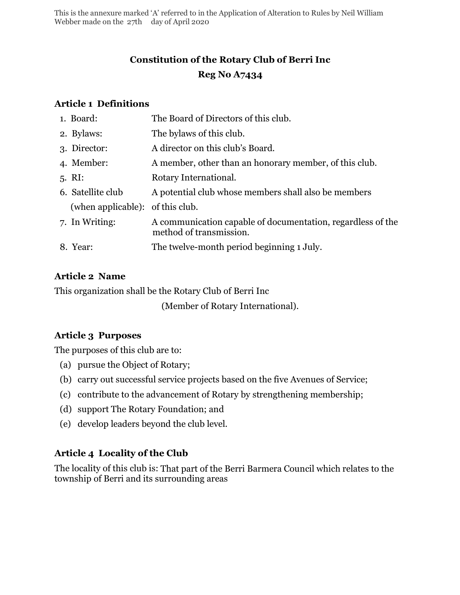This is the annexure marked 'A' referred to in the Application of Alteration to Rules by Neil William Webber made on the 27th day of April 2020

# **Constitution of the Rotary Club of Berri Inc Reg No A7434**

#### **Article 1 Definitions**

| 1. Board:                        | The Board of Directors of this club.                                                   |
|----------------------------------|----------------------------------------------------------------------------------------|
| 2. Bylaws:                       | The bylaws of this club.                                                               |
| 3. Director:                     | A director on this club's Board.                                                       |
| 4. Member:                       | A member, other than an honorary member, of this club.                                 |
| $5. \; \mathrm{RI:}$             | Rotary International.                                                                  |
| 6. Satellite club                | A potential club whose members shall also be members                                   |
| (when applicable): of this club. |                                                                                        |
| 7. In Writing:                   | A communication capable of documentation, regardless of the<br>method of transmission. |
| 8. Year:                         | The twelve-month period beginning 1 July.                                              |
|                                  |                                                                                        |

#### **Article 2 Name**

This organization shall be the Rotary Club of Berri Inc

(Member of Rotary International).

#### **Article 3 Purposes**

The purposes of this club are to:

- (a) pursue the Object of Rotary;
- (b) carry out successful service projects based on the five Avenues of Service;
- (c) contribute to the advancement of Rotary by strengthening membership;
- (d) support The Rotary Foundation; and
- (e) develop leaders beyond the club level.

# **Article 4 Locality of the Club**

The locality of this club is: That part of the Berri Barmera Council which relates to the township of Berri and its surrounding areas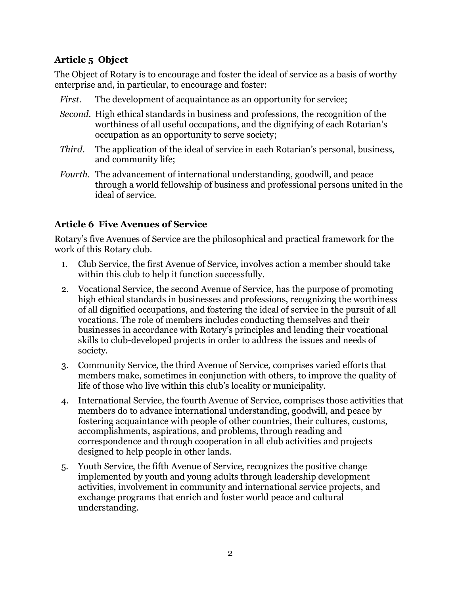# **Article 5 Object**

The Object of Rotary is to encourage and foster the ideal of service as a basis of worthy enterprise and, in particular, to encourage and foster:

- *First.* The development of acquaintance as an opportunity for service;
- *Second.* High ethical standards in business and professions, the recognition of the worthiness of all useful occupations, and the dignifying of each Rotarian's occupation as an opportunity to serve society;
- *Third.* The application of the ideal of service in each Rotarian's personal, business, and community life;
- *Fourth.* The advancement of international understanding, goodwill, and peace through a world fellowship of business and professional persons united in the ideal of service.

#### **Article 6 Five Avenues of Service**

Rotary's five Avenues of Service are the philosophical and practical framework for the work of this Rotary club.

- 1. Club Service, the first Avenue of Service, involves action a member should take within this club to help it function successfully.
- 2. Vocational Service, the second Avenue of Service, has the purpose of promoting high ethical standards in businesses and professions, recognizing the worthiness of all dignified occupations, and fostering the ideal of service in the pursuit of all vocations. The role of members includes conducting themselves and their businesses in accordance with Rotary's principles and lending their vocational skills to club-developed projects in order to address the issues and needs of society.
- 3. Community Service, the third Avenue of Service, comprises varied efforts that members make, sometimes in conjunction with others, to improve the quality of life of those who live within this club's locality or municipality.
- 4. International Service, the fourth Avenue of Service, comprises those activities that members do to advance international understanding, goodwill, and peace by fostering acquaintance with people of other countries, their cultures, customs, accomplishments, aspirations, and problems, through reading and correspondence and through cooperation in all club activities and projects designed to help people in other lands.
- 5. Youth Service, the fifth Avenue of Service, recognizes the positive change implemented by youth and young adults through leadership development activities, involvement in community and international service projects, and exchange programs that enrich and foster world peace and cultural understanding.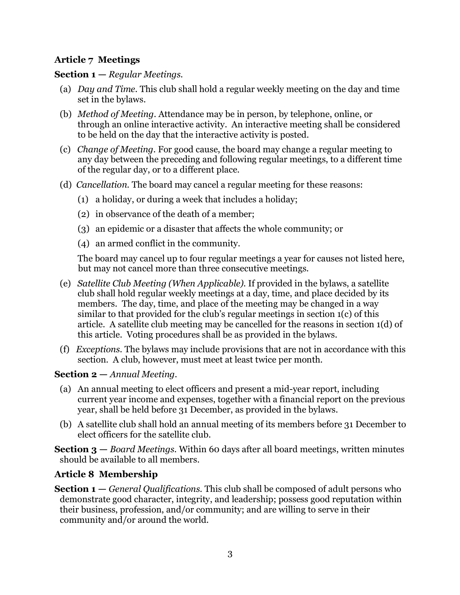#### **Article 7 Meetings**

#### **Section 1 —** *Regular Meetings.*

- (a) *Day and Time.* This club shall hold a regular weekly meeting on the day and time set in the bylaws.
- (b) *Method of Meeting.* Attendance may be in person, by telephone, online, or through an online interactive activity. An interactive meeting shall be considered to be held on the day that the interactive activity is posted.
- (c) *Change of Meeting.* For good cause, the board may change a regular meeting to any day between the preceding and following regular meetings, to a different time of the regular day, or to a different place.
- (d) *Cancellation.* The board may cancel a regular meeting for these reasons:
	- (1) a holiday, or during a week that includes a holiday;
	- (2) in observance of the death of a member;
	- (3) an epidemic or a disaster that affects the whole community; or
	- (4) an armed conflict in the community.

The board may cancel up to four regular meetings a year for causes not listed here, but may not cancel more than three consecutive meetings.

- (e) *Satellite Club Meeting (When Applicable).* If provided in the bylaws, a satellite club shall hold regular weekly meetings at a day, time, and place decided by its members. The day, time, and place of the meeting may be changed in a way similar to that provided for the club's regular meetings in section 1(c) of this article. A satellite club meeting may be cancelled for the reasons in section 1(d) of this article. Voting procedures shall be as provided in the bylaws.
- (f) *Exceptions.* The bylaws may include provisions that are not in accordance with this section. A club, however, must meet at least twice per month.

#### **Section 2 —** *Annual Meeting.*

- (a) An annual meeting to elect officers and present a mid-year report, including current year income and expenses, together with a financial report on the previous year, shall be held before 31 December, as provided in the bylaws.
- (b) A satellite club shall hold an annual meeting of its members before 31 December to elect officers for the satellite club.

**Section 3 —** *Board Meetings.* Within 60 days after all board meetings, written minutes should be available to all members.

#### **Article 8 Membership**

**Section 1 —** *General Qualifications.* This club shall be composed of adult persons who demonstrate good character, integrity, and leadership; possess good reputation within their business, profession, and/or community; and are willing to serve in their community and/or around the world.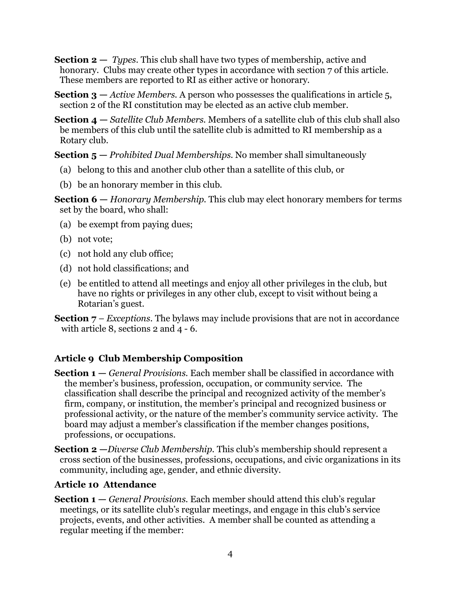**Section 2 —** *Types.* This club shall have two types of membership, active and honorary. Clubs may create other types in accordance with section 7 of this article. These members are reported to RI as either active or honorary.

**Section 3 —** *Active Members.* A person who possesses the qualifications in article 5, section 2 of the RI constitution may be elected as an active club member.

**Section 4 —** *Satellite Club Members.* Members of a satellite club of this club shall also be members of this club until the satellite club is admitted to RI membership as a Rotary club.

**Section 5 —** *Prohibited Dual Memberships.* No member shall simultaneously

- (a) belong to this and another club other than a satellite of this club, or
- (b) be an honorary member in this club.

**Section 6 —** *Honorary Membership.* This club may elect honorary members for terms set by the board, who shall:

- (a) be exempt from paying dues;
- (b) not vote;
- (c) not hold any club office;
- (d) not hold classifications; and
- (e) be entitled to attend all meetings and enjoy all other privileges in the club, but have no rights or privileges in any other club, except to visit without being a Rotarian's guest.
- **Section 7** *Exceptions.* The bylaws may include provisions that are not in accordance with article 8, sections 2 and 4 - 6.

# **Article 9 Club Membership Composition**

- **Section 1 —** *General Provisions.* Each member shall be classified in accordance with the member's business, profession, occupation, or community service. The classification shall describe the principal and recognized activity of the member's firm, company, or institution, the member's principal and recognized business or professional activity, or the nature of the member's community service activity. The board may adjust a member's classification if the member changes positions, professions, or occupations.
- **Section 2 —***Diverse Club Membership.* This club's membership should represent a cross section of the businesses, professions, occupations, and civic organizations in its community, including age, gender, and ethnic diversity.

# **Article 10 Attendance**

**Section 1 —** *General Provisions.* Each member should attend this club's regular meetings, or its satellite club's regular meetings, and engage in this club's service projects, events, and other activities. A member shall be counted as attending a regular meeting if the member: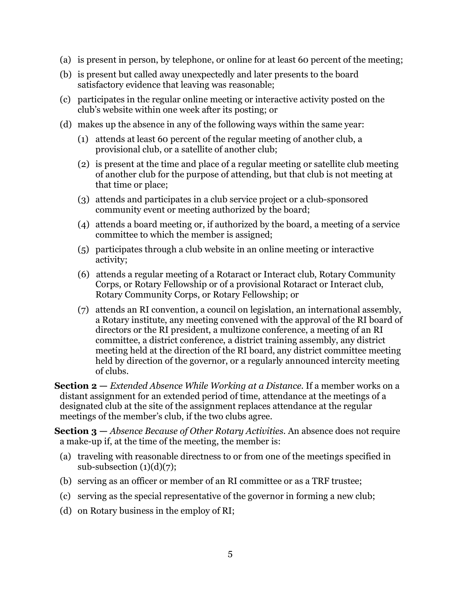- (a) is present in person, by telephone, or online for at least 60 percent of the meeting;
- (b) is present but called away unexpectedly and later presents to the board satisfactory evidence that leaving was reasonable;
- (c) participates in the regular online meeting or interactive activity posted on the club's website within one week after its posting; or
- (d) makes up the absence in any of the following ways within the same year:
	- (1) attends at least 60 percent of the regular meeting of another club, a provisional club, or a satellite of another club;
	- (2) is present at the time and place of a regular meeting or satellite club meeting of another club for the purpose of attending, but that club is not meeting at that time or place;
	- (3) attends and participates in a club service project or a club-sponsored community event or meeting authorized by the board;
	- (4) attends a board meeting or, if authorized by the board, a meeting of a service committee to which the member is assigned;
	- (5) participates through a club website in an online meeting or interactive activity;
	- (6) attends a regular meeting of a Rotaract or Interact club, Rotary Community Corps, or Rotary Fellowship or of a provisional Rotaract or Interact club, Rotary Community Corps, or Rotary Fellowship; or
	- (7) attends an RI convention, a council on legislation, an international assembly, a Rotary institute, any meeting convened with the approval of the RI board of directors or the RI president, a multizone conference, a meeting of an RI committee, a district conference, a district training assembly, any district meeting held at the direction of the RI board, any district committee meeting held by direction of the governor, or a regularly announced intercity meeting of clubs.

**Section 2 —** *Extended Absence While Working at a Distance.* If a member works on a distant assignment for an extended period of time, attendance at the meetings of a designated club at the site of the assignment replaces attendance at the regular meetings of the member's club, if the two clubs agree.

**Section 3 —** *Absence Because of Other Rotary Activities.* An absence does not require a make-up if, at the time of the meeting, the member is:

- (a) traveling with reasonable directness to or from one of the meetings specified in sub-subsection  $(1)(d)(7)$ ;
- (b) serving as an officer or member of an RI committee or as a TRF trustee;
- (c) serving as the special representative of the governor in forming a new club;
- (d) on Rotary business in the employ of RI;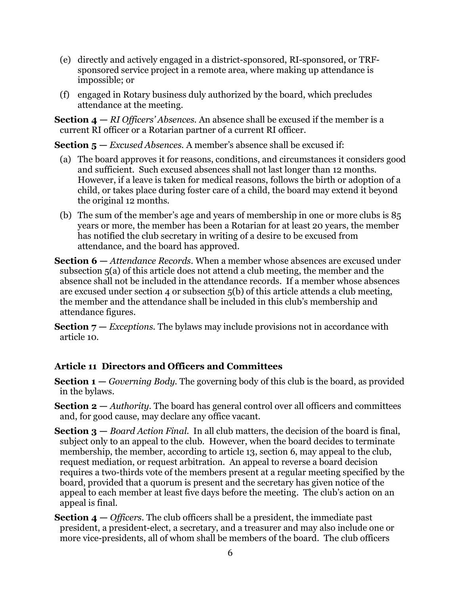- (e) directly and actively engaged in a district-sponsored, RI-sponsored, or TRFsponsored service project in a remote area, where making up attendance is impossible; or
- (f) engaged in Rotary business duly authorized by the board, which precludes attendance at the meeting.

**Section 4 —** *RI Officers' Absences.* An absence shall be excused if the member is a current RI officer or a Rotarian partner of a current RI officer.

**Section 5 —** *Excused Absences.* A member's absence shall be excused if:

- (a) The board approves it for reasons, conditions, and circumstances it considers good and sufficient. Such excused absences shall not last longer than 12 months. However, if a leave is taken for medical reasons, follows the birth or adoption of a child, or takes place during foster care of a child, the board may extend it beyond the original 12 months.
- (b) The sum of the member's age and years of membership in one or more clubs is 85 years or more, the member has been a Rotarian for at least 20 years, the member has notified the club secretary in writing of a desire to be excused from attendance, and the board has approved.
- **Section 6 —** *Attendance Records.* When a member whose absences are excused under subsection 5(a) of this article does not attend a club meeting, the member and the absence shall not be included in the attendance records. If a member whose absences are excused under section 4 or subsection 5(b) of this article attends a club meeting, the member and the attendance shall be included in this club's membership and attendance figures.

**Section**  $7 - Exceptions$ **. The bylaws may include provisions not in accordance with** article 10.

#### **Article 11 Directors and Officers and Committees**

- **Section 1 —** *Governing Body.* The governing body of this club is the board, as provided in the bylaws.
- **Section 2 —** *Authority.* The board has general control over all officers and committees and, for good cause, may declare any office vacant.
- **Section 3 —** *Board Action Final.* In all club matters, the decision of the board is final, subject only to an appeal to the club. However, when the board decides to terminate membership, the member, according to article 13, section 6, may appeal to the club, request mediation, or request arbitration. An appeal to reverse a board decision requires a two-thirds vote of the members present at a regular meeting specified by the board, provided that a quorum is present and the secretary has given notice of the appeal to each member at least five days before the meeting. The club's action on an appeal is final.
- **Section 4 —** *Officers.* The club officers shall be a president, the immediate past president, a president-elect, a secretary, and a treasurer and may also include one or more vice-presidents, all of whom shall be members of the board. The club officers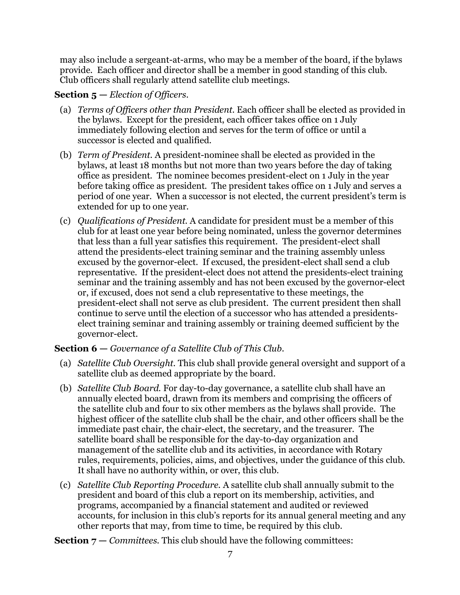may also include a sergeant-at-arms, who may be a member of the board, if the bylaws provide. Each officer and director shall be a member in good standing of this club. Club officers shall regularly attend satellite club meetings.

#### **Section 5 —** *Election of Officers.*

- (a) *Terms of Officers other than President.* Each officer shall be elected as provided in the bylaws. Except for the president, each officer takes office on 1 July immediately following election and serves for the term of office or until a successor is elected and qualified.
- (b) *Term of President.* A president-nominee shall be elected as provided in the bylaws, at least 18 months but not more than two years before the day of taking office as president. The nominee becomes president-elect on 1 July in the year before taking office as president. The president takes office on 1 July and serves a period of one year. When a successor is not elected, the current president's term is extended for up to one year.
- (c) *Qualifications of President.* A candidate for president must be a member of this club for at least one year before being nominated, unless the governor determines that less than a full year satisfies this requirement. The president-elect shall attend the presidents-elect training seminar and the training assembly unless excused by the governor-elect. If excused, the president-elect shall send a club representative. If the president-elect does not attend the presidents-elect training seminar and the training assembly and has not been excused by the governor-elect or, if excused, does not send a club representative to these meetings, the president-elect shall not serve as club president. The current president then shall continue to serve until the election of a successor who has attended a presidentselect training seminar and training assembly or training deemed sufficient by the governor-elect.

# **Section 6 —** *Governance of a Satellite Club of This Club.*

- (a) *Satellite Club Oversight.* This club shall provide general oversight and support of a satellite club as deemed appropriate by the board.
- (b) *Satellite Club Board.* For day-to-day governance, a satellite club shall have an annually elected board, drawn from its members and comprising the officers of the satellite club and four to six other members as the bylaws shall provide. The highest officer of the satellite club shall be the chair, and other officers shall be the immediate past chair, the chair-elect, the secretary, and the treasurer. The satellite board shall be responsible for the day-to-day organization and management of the satellite club and its activities, in accordance with Rotary rules, requirements, policies, aims, and objectives, under the guidance of this club. It shall have no authority within, or over, this club.
- (c) *Satellite Club Reporting Procedure.* A satellite club shall annually submit to the president and board of this club a report on its membership, activities, and programs, accompanied by a financial statement and audited or reviewed accounts, for inclusion in this club's reports for its annual general meeting and any other reports that may, from time to time, be required by this club.

**Section 7 —** *Committees.* This club should have the following committees: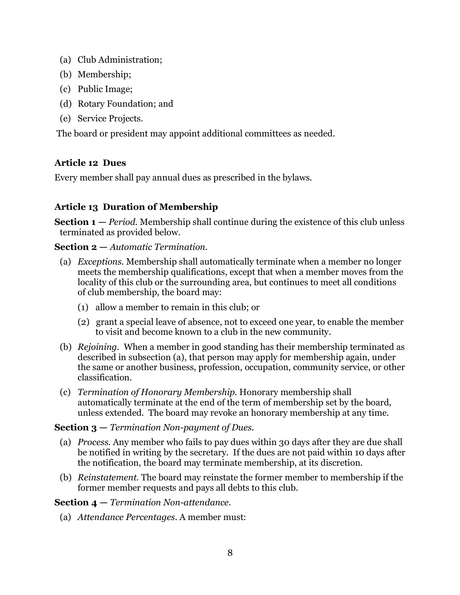- (a) Club Administration;
- (b) Membership;
- (c) Public Image;
- (d) Rotary Foundation; and
- (e) Service Projects.

The board or president may appoint additional committees as needed.

#### **Article 12 Dues**

Every member shall pay annual dues as prescribed in the bylaws.

# **Article 13 Duration of Membership**

**Section 1 —** *Period.* Membership shall continue during the existence of this club unless terminated as provided below.

#### **Section 2 —** *Automatic Termination.*

- (a) *Exceptions.* Membership shall automatically terminate when a member no longer meets the membership qualifications, except that when a member moves from the locality of this club or the surrounding area, but continues to meet all conditions of club membership, the board may:
	- (1) allow a member to remain in this club; or
	- (2) grant a special leave of absence, not to exceed one year, to enable the member to visit and become known to a club in the new community.
- (b) *Rejoining.* When a member in good standing has their membership terminated as described in subsection (a), that person may apply for membership again, under the same or another business, profession, occupation, community service, or other classification.
- (c) *Termination of Honorary Membership.* Honorary membership shall automatically terminate at the end of the term of membership set by the board, unless extended. The board may revoke an honorary membership at any time.

#### **Section 3 —** *Termination Non-payment of Dues.*

- (a) *Process.* Any member who fails to pay dues within 30 days after they are due shall be notified in writing by the secretary. If the dues are not paid within 10 days after the notification, the board may terminate membership, at its discretion.
- (b) *Reinstatement.* The board may reinstate the former member to membership if the former member requests and pays all debts to this club.

#### **Section 4 —** *Termination Non-attendance.*

(a) *Attendance Percentages.* A member must: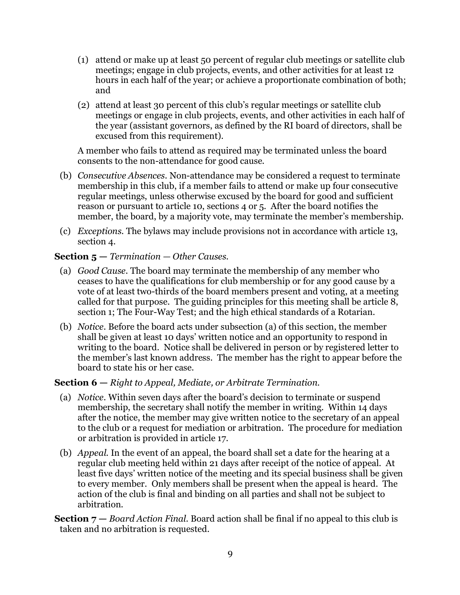- (1) attend or make up at least 50 percent of regular club meetings or satellite club meetings; engage in club projects, events, and other activities for at least 12 hours in each half of the year; or achieve a proportionate combination of both; and
- (2) attend at least 30 percent of this club's regular meetings or satellite club meetings or engage in club projects, events, and other activities in each half of the year (assistant governors, as defined by the RI board of directors, shall be excused from this requirement).

A member who fails to attend as required may be terminated unless the board consents to the non-attendance for good cause.

- (b) *Consecutive Absences.* Non-attendance may be considered a request to terminate membership in this club, if a member fails to attend or make up four consecutive regular meetings, unless otherwise excused by the board for good and sufficient reason or pursuant to article 10, sections 4 or 5. After the board notifies the member, the board, by a majority vote, may terminate the member's membership.
- (c) *Exceptions.* The bylaws may include provisions not in accordance with article 13, section 4.

#### **Section 5 —** *Termination — Other Causes.*

- (a) *Good Cause.* The board may terminate the membership of any member who ceases to have the qualifications for club membership or for any good cause by a vote of at least two-thirds of the board members present and voting, at a meeting called for that purpose. The guiding principles for this meeting shall be article 8, section 1; The Four-Way Test; and the high ethical standards of a Rotarian.
- (b) *Notice.* Before the board acts under subsection (a) of this section, the member shall be given at least 10 days' written notice and an opportunity to respond in writing to the board. Notice shall be delivered in person or by registered letter to the member's last known address. The member has the right to appear before the board to state his or her case.

#### **Section 6 —** *Right to Appeal, Mediate, or Arbitrate Termination.*

- (a) *Notice.* Within seven days after the board's decision to terminate or suspend membership, the secretary shall notify the member in writing. Within 14 days after the notice, the member may give written notice to the secretary of an appeal to the club or a request for mediation or arbitration. The procedure for mediation or arbitration is provided in article 17.
- (b) *Appeal.* In the event of an appeal, the board shall set a date for the hearing at a regular club meeting held within 21 days after receipt of the notice of appeal. At least five days' written notice of the meeting and its special business shall be given to every member. Only members shall be present when the appeal is heard. The action of the club is final and binding on all parties and shall not be subject to arbitration.
- **Section 7 —** *Board Action Final.* Board action shall be final if no appeal to this club is taken and no arbitration is requested.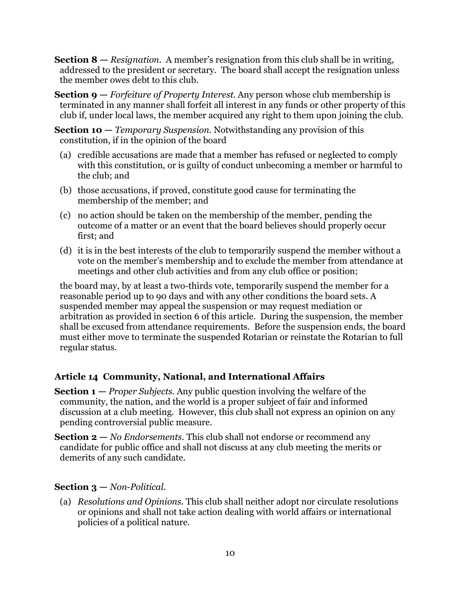- **Section 8 —** *Resignation.* A member's resignation from this club shall be in writing, addressed to the president or secretary. The board shall accept the resignation unless the member owes debt to this club.
- **Section 9 —** *Forfeiture of Property Interest.* Any person whose club membership is terminated in any manner shall forfeit all interest in any funds or other property of this club if, under local laws, the member acquired any right to them upon joining the club.

**Section 10 —** *Temporary Suspension.* Notwithstanding any provision of this constitution, if in the opinion of the board

- (a) credible accusations are made that a member has refused or neglected to comply with this constitution, or is guilty of conduct unbecoming a member or harmful to the club; and
- (b) those accusations, if proved, constitute good cause for terminating the membership of the member; and
- (c) no action should be taken on the membership of the member, pending the outcome of a matter or an event that the board believes should properly occur first; and
- (d) it is in the best interests of the club to temporarily suspend the member without a vote on the member's membership and to exclude the member from attendance at meetings and other club activities and from any club office or position;

the board may, by at least a two-thirds vote, temporarily suspend the member for a reasonable period up to 90 days and with any other conditions the board sets. A suspended member may appeal the suspension or may request mediation or arbitration as provided in section 6 of this article. During the suspension, the member shall be excused from attendance requirements. Before the suspension ends, the board must either move to terminate the suspended Rotarian or reinstate the Rotarian to full regular status.

# **Article 14 Community, National, and International Affairs**

**Section 1 —** *Proper Subjects.* Any public question involving the welfare of the community, the nation, and the world is a proper subject of fair and informed discussion at a club meeting. However, this club shall not express an opinion on any pending controversial public measure.

**Section 2 —** *No Endorsements.* This club shall not endorse or recommend any candidate for public office and shall not discuss at any club meeting the merits or demerits of any such candidate.

#### **Section 3 —** *Non-Political.*

(a) *Resolutions and Opinions.* This club shall neither adopt nor circulate resolutions or opinions and shall not take action dealing with world affairs or international policies of a political nature.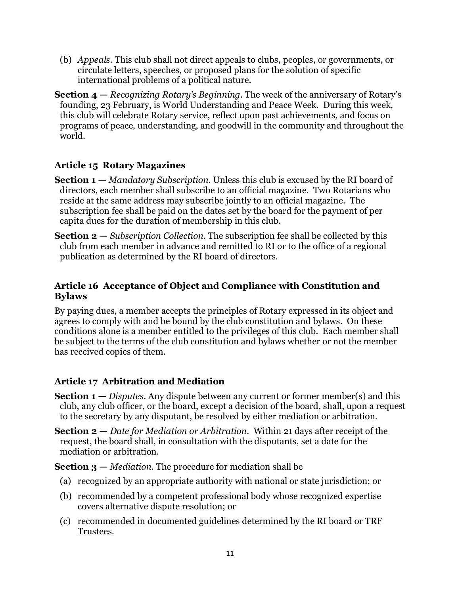(b) *Appeals.* This club shall not direct appeals to clubs, peoples, or governments, or circulate letters, speeches, or proposed plans for the solution of specific international problems of a political nature.

**Section 4 —** *Recognizing Rotary's Beginning.* The week of the anniversary of Rotary's founding, 23 February, is World Understanding and Peace Week. During this week, this club will celebrate Rotary service, reflect upon past achievements, and focus on programs of peace, understanding, and goodwill in the community and throughout the world.

#### **Article 15 Rotary Magazines**

- **Section 1 —** *Mandatory Subscription.* Unless this club is excused by the RI board of directors, each member shall subscribe to an official magazine. Two Rotarians who reside at the same address may subscribe jointly to an official magazine. The subscription fee shall be paid on the dates set by the board for the payment of per capita dues for the duration of membership in this club.
- **Section 2** *Subscription Collection*. The subscription fee shall be collected by this club from each member in advance and remitted to RI or to the office of a regional publication as determined by the RI board of directors.

#### **Article 16 Acceptance of Object and Compliance with Constitution and Bylaws**

By paying dues, a member accepts the principles of Rotary expressed in its object and agrees to comply with and be bound by the club constitution and bylaws. On these conditions alone is a member entitled to the privileges of this club. Each member shall be subject to the terms of the club constitution and bylaws whether or not the member has received copies of them.

# **Article 17 Arbitration and Mediation**

**Section 1 —** *Disputes.* Any dispute between any current or former member(s) and this club, any club officer, or the board, except a decision of the board, shall, upon a request to the secretary by any disputant, be resolved by either mediation or arbitration.

**Section 2 —** *Date for Mediation or Arbitration.* Within 21 days after receipt of the request, the board shall, in consultation with the disputants, set a date for the mediation or arbitration.

**Section 3 —** *Mediation.* The procedure for mediation shall be

- (a) recognized by an appropriate authority with national or state jurisdiction; or
- (b) recommended by a competent professional body whose recognized expertise covers alternative dispute resolution; or
- (c) recommended in documented guidelines determined by the RI board or TRF Trustees.